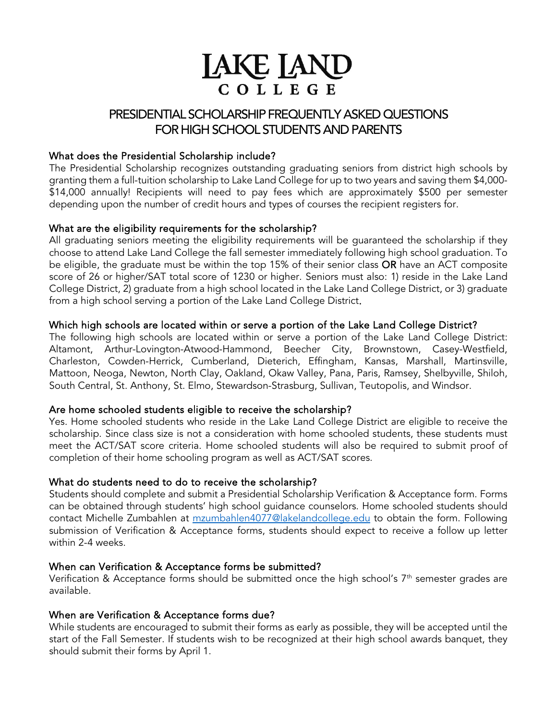# **LAKE LAND** COLLEGE

# PRESIDENTIAL SCHOLARSHIP FREQUENTLY ASKED QUESTIONS FOR HIGH SCHOOL STUDENTS AND PARENTS

# What does the Presidential Scholarship include?

The Presidential Scholarship recognizes outstanding graduating seniors from district high schools by granting them a full-tuition scholarship to Lake Land College for up to two years and saving them \$4,000- \$14,000 annually! Recipients will need to pay fees which are approximately \$500 per semester depending upon the number of credit hours and types of courses the recipient registers for.

# What are the eligibility requirements for the scholarship?

All graduating seniors meeting the eligibility requirements will be guaranteed the scholarship if they choose to attend Lake Land College the fall semester immediately following high school graduation. To be eligible, the graduate must be within the top 15% of their senior class OR have an ACT composite score of 26 or higher/SAT total score of 1230 or higher. Seniors must also: 1) reside in the Lake Land College District, 2) graduate from a high school located in the Lake Land College District, or 3) graduate from a high school serving a portion of the Lake Land College District.

# Which high schools are located within or serve a portion of the Lake Land College District?

The following high schools are located within or serve a portion of the Lake Land College District: Altamont, Arthur-Lovington-Atwood-Hammond, Beecher City, Brownstown, Casey-Westfield, Charleston, Cowden-Herrick, Cumberland, Dieterich, Effingham, Kansas, Marshall, Martinsville, Mattoon, Neoga, Newton, North Clay, Oakland, Okaw Valley, Pana, Paris, Ramsey, Shelbyville, Shiloh, South Central, St. Anthony, St. Elmo, Stewardson-Strasburg, Sullivan, Teutopolis, and Windsor.

# Are home schooled students eligible to receive the scholarship?

Yes. Home schooled students who reside in the Lake Land College District are eligible to receive the scholarship. Since class size is not a consideration with home schooled students, these students must meet the ACT/SAT score criteria. Home schooled students will also be required to submit proof of completion of their home schooling program as well as ACT/SAT scores.

# What do students need to do to receive the scholarship?

Students should complete and submit a Presidential Scholarship Verification & Acceptance form. Forms can be obtained through students' high school guidance counselors. Home schooled students should contact Michelle Zumbahlen at [mzumbahlen4077@lakelandcollege.edu](mailto:mzumbahlen4077@lakelandcollege.edu) to obtain the form. Following submission of Verification & Acceptance forms, students should expect to receive a follow up letter within 2-4 weeks.

# When can Verification & Acceptance forms be submitted?

Verification & Acceptance forms should be submitted once the high school's  $7<sup>th</sup>$  semester grades are available.

# When are Verification & Acceptance forms due?

While students are encouraged to submit their forms as early as possible, they will be accepted until the start of the Fall Semester. If students wish to be recognized at their high school awards banquet, they should submit their forms by April 1.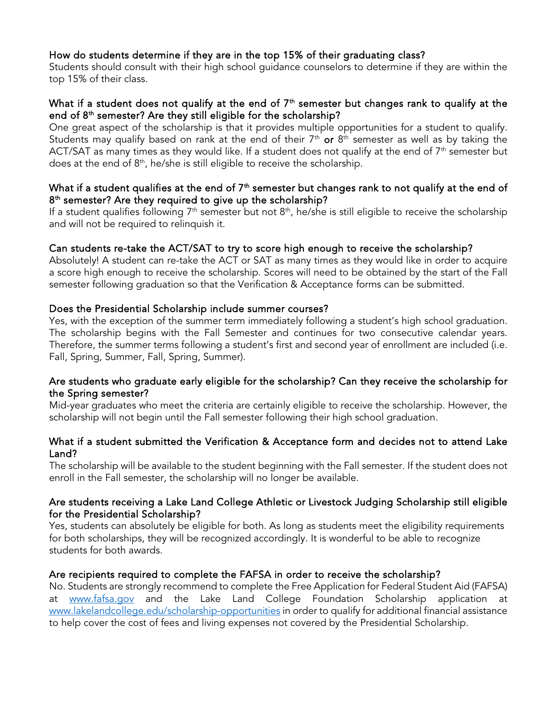# How do students determine if they are in the top 15% of their graduating class?

Students should consult with their high school guidance counselors to determine if they are within the top 15% of their class.

# What if a student does not qualify at the end of  $7<sup>th</sup>$  semester but changes rank to qualify at the end of  $8<sup>th</sup>$  semester? Are they still eligible for the scholarship?

One great aspect of the scholarship is that it provides multiple opportunities for a student to qualify. Students may qualify based on rank at the end of their  $7<sup>th</sup>$  or  $8<sup>th</sup>$  semester as well as by taking the ACT/SAT as many times as they would like. If a student does not qualify at the end of  $7<sup>th</sup>$  semester but does at the end of  $8<sup>th</sup>$ , he/she is still eligible to receive the scholarship.

#### What if a student qualifies at the end of  $7<sup>th</sup>$  semester but changes rank to not qualify at the end of 8<sup>th</sup> semester? Are they required to give up the scholarship?

If a student qualifies following  $7<sup>th</sup>$  semester but not  $8<sup>th</sup>$ , he/she is still eligible to receive the scholarship and will not be required to relinquish it.

# Can students re-take the ACT/SAT to try to score high enough to receive the scholarship?

Absolutely! A student can re-take the ACT or SAT as many times as they would like in order to acquire a score high enough to receive the scholarship. Scores will need to be obtained by the start of the Fall semester following graduation so that the Verification & Acceptance forms can be submitted.

#### Does the Presidential Scholarship include summer courses?

Yes, with the exception of the summer term immediately following a student's high school graduation. The scholarship begins with the Fall Semester and continues for two consecutive calendar years. Therefore, the summer terms following a student's first and second year of enrollment are included (i.e. Fall, Spring, Summer, Fall, Spring, Summer).

#### Are students who graduate early eligible for the scholarship? Can they receive the scholarship for the Spring semester?

Mid-year graduates who meet the criteria are certainly eligible to receive the scholarship. However, the scholarship will not begin until the Fall semester following their high school graduation.

#### What if a student submitted the Verification & Acceptance form and decides not to attend Lake Land?

The scholarship will be available to the student beginning with the Fall semester. If the student does not enroll in the Fall semester, the scholarship will no longer be available.

#### Are students receiving a Lake Land College Athletic or Livestock Judging Scholarship still eligible for the Presidential Scholarship?

Yes, students can absolutely be eligible for both. As long as students meet the eligibility requirements for both scholarships, they will be recognized accordingly. It is wonderful to be able to recognize students for both awards.

#### Are recipients required to complete the FAFSA in order to receive the scholarship?

No. Students are strongly recommend to complete the Free Application for Federal Student Aid (FAFSA) at [www.fafsa.gov](http://www.fafsa.gov/) and the Lake Land College Foundation Scholarship application at [www.lakelandcollege.edu/scholarship-opportunities](http://www.lakelandcollege.edu/scholarship-opportunities) in order to qualify for additional financial assistance to help cover the cost of fees and living expenses not covered by the Presidential Scholarship.